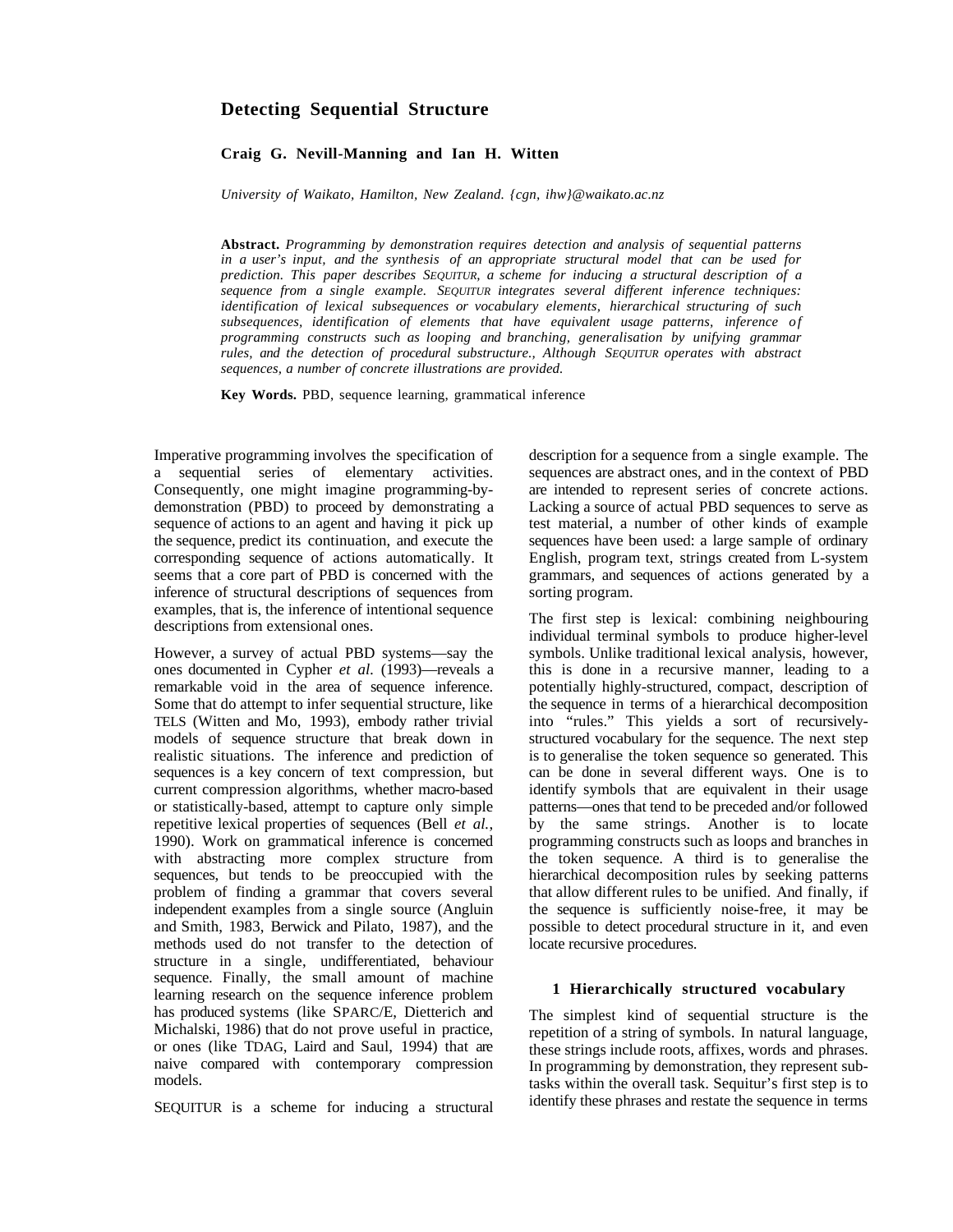# **Detecting Sequential Structure**

# **Craig G. Nevill-Manning and Ian H. Witten**

*University of Waikato, Hamilton, New Zealand. {cgn, ihw}@waikato.ac.nz*

**Abstract.** *Programming by demonstration requires detection and analysis of sequential patterns in a user's input, and the synthesis of an appropriate structural model that can be used for prediction. This paper describes SEQUITUR, a scheme for inducing a structural description of a sequence from a single example. SEQUITUR integrates several different inference techniques: identification of lexical subsequences or vocabulary elements, hierarchical structuring of such subsequences, identification of elements that have equivalent usage patterns, inference of programming constructs such as looping and branching, generalisation by unifying grammar rules, and the detection of procedural substructure., Although SEQUITUR operates with abstract sequences, a number of concrete illustrations are provided.*

**Key Words.** PBD, sequence learning, grammatical inference

Imperative programming involves the specification of a sequential series of elementary activities. Consequently, one might imagine programming-bydemonstration (PBD) to proceed by demonstrating a sequence of actions to an agent and having it pick up the sequence, predict its continuation, and execute the corresponding sequence of actions automatically. It seems that a core part of PBD is concerned with the inference of structural descriptions of sequences from examples, that is, the inference of intentional sequence descriptions from extensional ones.

However, a survey of actual PBD systems—say the ones documented in Cypher *et al.* (1993)—reveals a remarkable void in the area of sequence inference. Some that do attempt to infer sequential structure, like TELS (Witten and Mo, 1993), embody rather trivial models of sequence structure that break down in realistic situations. The inference and prediction of sequences is a key concern of text compression, but current compression algorithms, whether macro-based or statistically-based, attempt to capture only simple repetitive lexical properties of sequences (Bell *et al.*, 1990). Work on grammatical inference is concerned with abstracting more complex structure from sequences, but tends to be preoccupied with the problem of finding a grammar that covers several independent examples from a single source (Angluin and Smith, 1983, Berwick and Pilato, 1987), and the methods used do not transfer to the detection of structure in a single, undifferentiated, behaviour sequence. Finally, the small amount of machine learning research on the sequence inference problem has produced systems (like SPARC/E, Dietterich and Michalski, 1986) that do not prove useful in practice, or ones (like TDAG, Laird and Saul, 1994) that are naive compared with contemporary compression models.

SEQUITUR is a scheme for inducing a structural

description for a sequence from a single example. The sequences are abstract ones, and in the context of PBD are intended to represent series of concrete actions. Lacking a source of actual PBD sequences to serve as test material, a number of other kinds of example sequences have been used: a large sample of ordinary English, program text, strings created from L-system grammars, and sequences of actions generated by a sorting program.

The first step is lexical: combining neighbouring individual terminal symbols to produce higher-level symbols. Unlike traditional lexical analysis, however, this is done in a recursive manner, leading to a potentially highly-structured, compact, description of the sequence in terms of a hierarchical decomposition into "rules." This yields a sort of recursivelystructured vocabulary for the sequence. The next step is to generalise the token sequence so generated. This can be done in several different ways. One is to identify symbols that are equivalent in their usage patterns—ones that tend to be preceded and/or followed by the same strings. Another is to locate programming constructs such as loops and branches in the token sequence. A third is to generalise the hierarchical decomposition rules by seeking patterns that allow different rules to be unified. And finally, if the sequence is sufficiently noise-free, it may be possible to detect procedural structure in it, and even locate recursive procedures.

#### **1 Hierarchically structured vocabulary**

The simplest kind of sequential structure is the repetition of a string of symbols. In natural language, these strings include roots, affixes, words and phrases. In programming by demonstration, they represent subtasks within the overall task. Sequitur's first step is to identify these phrases and restate the sequence in terms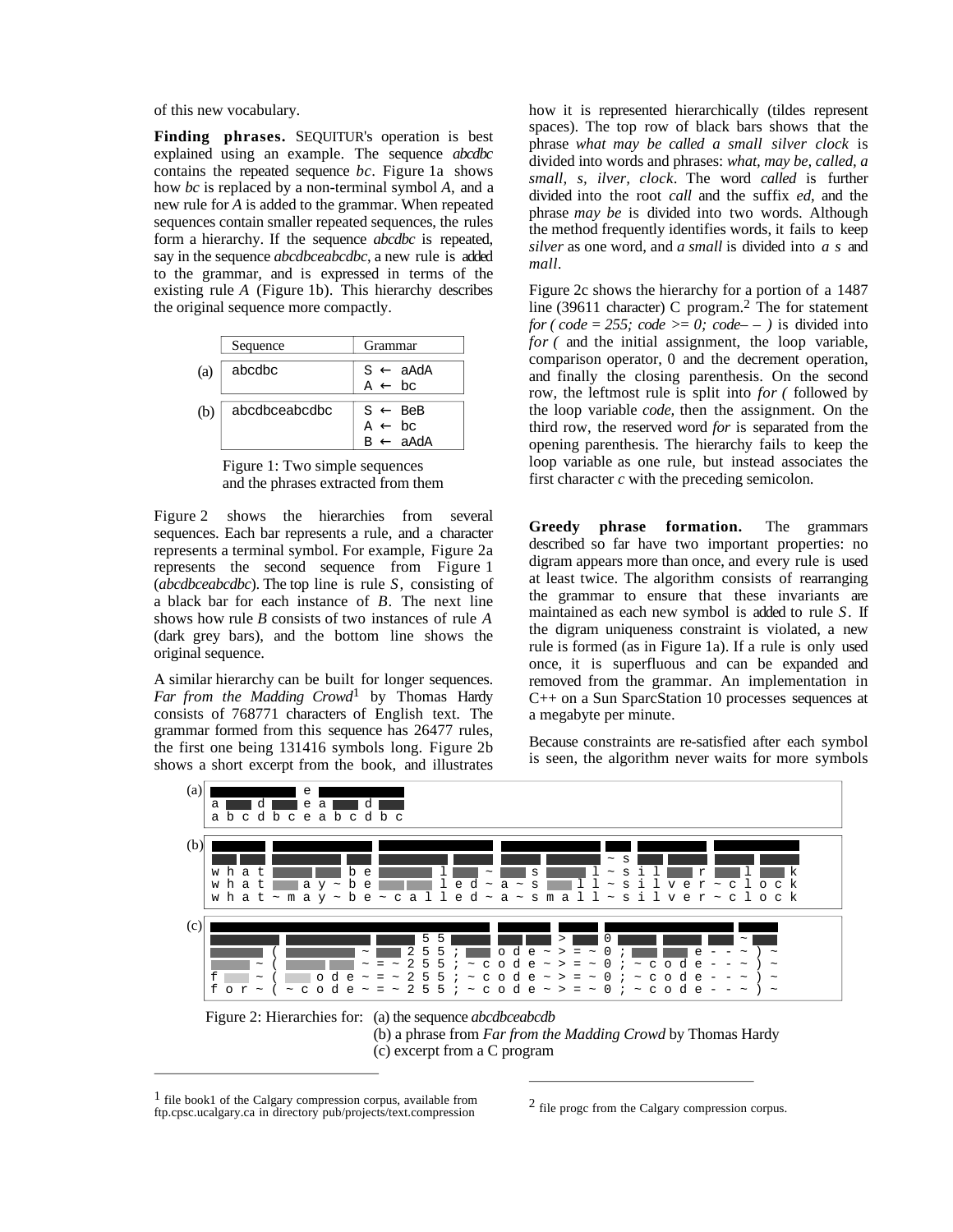of this new vocabulary.

**Finding phrases.** SEQUITUR's operation is best explained using an example. The sequence *abcdbc* contains the repeated sequence *bc*. Figure 1a shows how *bc* is replaced by a non-terminal symbol *A*, and a new rule for *A* is added to the grammar. When repeated sequences contain smaller repeated sequences, the rules form a hierarchy. If the sequence *abcdbc* is repeated, say in the sequence *abcdbceabcdbc*, a new rule is added to the grammar, and is expressed in terms of the existing rule *A* (Figure 1b). This hierarchy describes the original sequence more compactly.

|     | Sequence      | Grammar                                                        |
|-----|---------------|----------------------------------------------------------------|
| (a) | abcdbc        | $S \leftarrow$ aAdA<br>A $\leftarrow$ bc                       |
| (b) | abcdbceabcdbc | $S \leftarrow$ BeB<br>$A \leftarrow bc$<br>$B \leftarrow$ aAdA |

Figure 1: Two simple sequences and the phrases extracted from them

Figure 2 shows the hierarchies from several sequences. Each bar represents a rule, and a character represents a terminal symbol. For example, Figure 2a represents the second sequence from Figure 1 (*abcdbceabcdbc*). The top line is rule *S*, consisting of a black bar for each instance of *B*. The next line shows how rule *B* consists of two instances of rule *A* (dark grey bars), and the bottom line shows the original sequence.

A similar hierarchy can be built for longer sequences. *Far from the Madding Crowd*1 by Thomas Hardy consists of 768771 characters of English text. The grammar formed from this sequence has 26477 rules, the first one being 131416 symbols long. Figure 2b shows a short excerpt from the book, and illustrates how it is represented hierarchically (tildes represent spaces). The top row of black bars shows that the phrase *what may be called a small silver clock* is divided into words and phrases: *what, may be, called, a small, s, ilver, clock*. The word *called* is further divided into the root *call* and the suffix *ed*, and the phrase *may be* is divided into two words. Although the method frequently identifies words, it fails to keep *silver* as one word, and *a small* is divided into *a s* and *mall*.

Figure 2c shows the hierarchy for a portion of a 1487 line (39611 character) C program.2 The for statement *for ( code = 255; code >= 0; code--)* is divided into *for* (and the initial assignment, the loop variable, comparison operator, 0 and the decrement operation, and finally the closing parenthesis. On the second row, the leftmost rule is split into *for (* followed by the loop variable *code,* then the assignment. On the third row, the reserved word *for* is separated from the opening parenthesis. The hierarchy fails to keep the loop variable as one rule, but instead associates the first character *c* with the preceding semicolon.

**Greedy phrase formation.** The grammars described so far have two important properties: no digram appears more than once, and every rule is used at least twice. The algorithm consists of rearranging the grammar to ensure that these invariants are maintained as each new symbol is added to rule *S*. If the digram uniqueness constraint is violated, a new rule is formed (as in Figure 1a). If a rule is only used once, it is superfluous and can be expanded and removed from the grammar. An implementation in C++ on a Sun SparcStation 10 processes sequences at a megabyte per minute.

Because constraints are re-satisfied after each symbol is seen, the algorithm never waits for more symbols



(b) a phrase from *Far from the Madding Crowd* by Thomas Hardy (c) excerpt from a C program

 $\overline{a}$ 

 $\overline{a}$ 

 $<sup>1</sup>$  file book1 of the Calgary compression corpus, available from</sup> ftp.cpsc.ucalgary.ca in directory pub/projects/text.compression

 $<sup>2</sup>$  file progc from the Calgary compression corpus.</sup>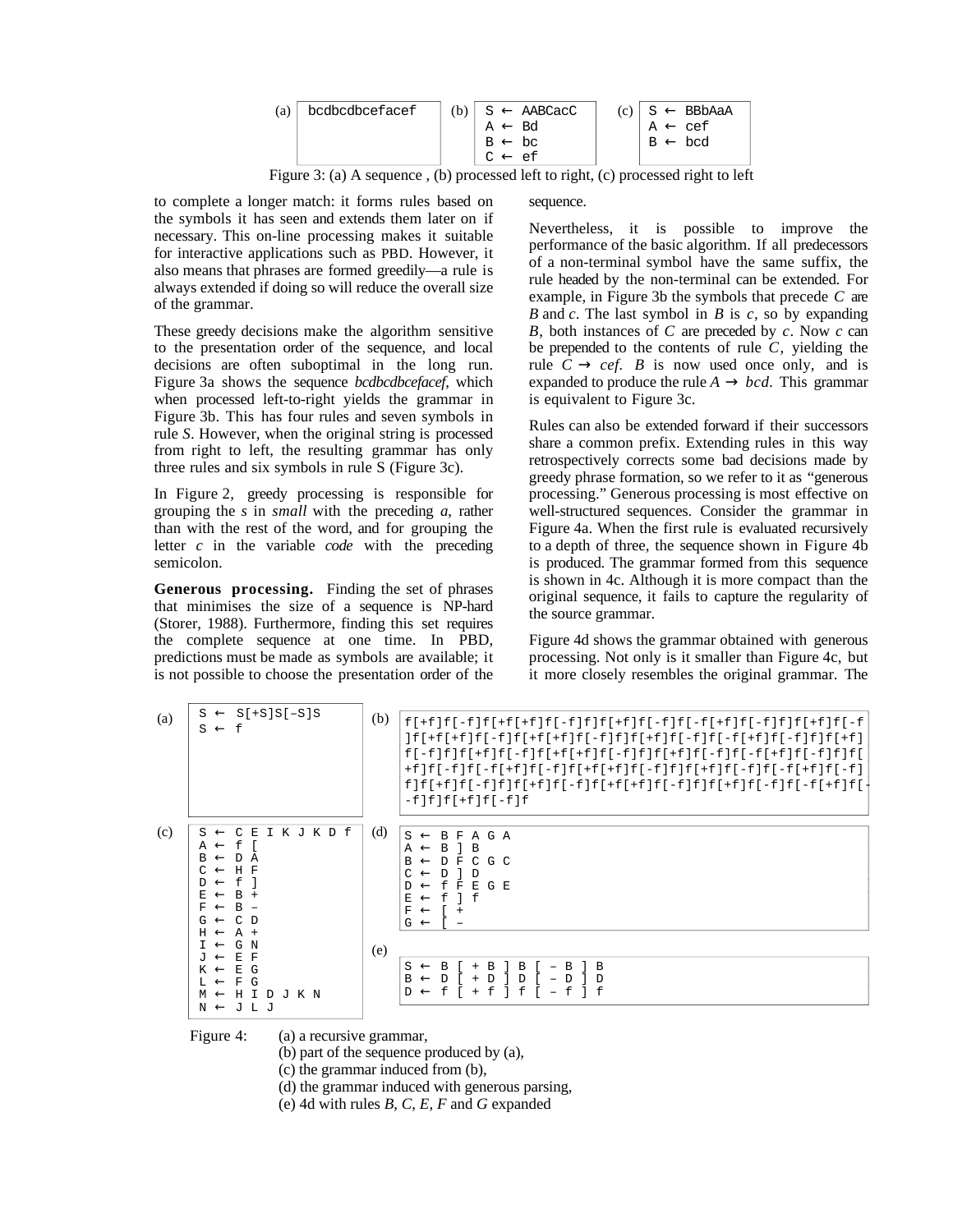| (a) | bcdbcdbcefacef | $(b) \mid S \leftarrow AABCacc$ | $(c) \mid S \leftarrow BBBAAA$ |
|-----|----------------|---------------------------------|--------------------------------|
|     |                | $A \leftarrow Bd$               | $A \leftarrow c e f$           |
|     |                | $B \leftarrow bc$               | $B \leftarrow$ bod             |
|     |                | $C \leftarrow ef$               |                                |

Figure 3: (a) A sequence , (b) processed left to right, (c) processed right to left

to complete a longer match: it forms rules based on the symbols it has seen and extends them later on if necessary. This on-line processing makes it suitable for interactive applications such as PBD. However, it also means that phrases are formed greedily—a rule is always extended if doing so will reduce the overall size of the grammar.

These greedy decisions make the algorithm sensitive to the presentation order of the sequence, and local decisions are often suboptimal in the long run. Figure 3a shows the sequence *bcdbcdbcefacef*, which when processed left-to-right yields the grammar in Figure 3b. This has four rules and seven symbols in rule *S*. However, when the original string is processed from right to left, the resulting grammar has only three rules and six symbols in rule S (Figure 3c).

In Figure 2, greedy processing is responsible for grouping the *s* in *small* with the preceding *a*, rather than with the rest of the word, and for grouping the letter *c* in the variable *code* with the preceding semicolon.

**Generous processing.** Finding the set of phrases that minimises the size of a sequence is NP-hard (Storer, 1988). Furthermore, finding this set requires the complete sequence at one time. In PBD, predictions must be made as symbols are available; it is not possible to choose the presentation order of the

#### sequence.

Nevertheless, it is possible to improve the performance of the basic algorithm. If all predecessors of a non-terminal symbol have the same suffix, the rule headed by the non-terminal can be extended. For example, in Figure 3b the symbols that precede *C* are *B* and *c*. The last symbol in *B* is *c*, so by expanding *B*, both instances of *C* are preceded by *c*. Now *c* can be prepended to the contents of rule *C*, yielding the rule  $C \rightarrow c e f$ . B is now used once only, and is expanded to produce the rule  $A \rightarrow bcd$ . This grammar is equivalent to Figure 3c.

Rules can also be extended forward if their successors share a common prefix. Extending rules in this way retrospectively corrects some bad decisions made by greedy phrase formation, so we refer to it as "generous processing." Generous processing is most effective on well-structured sequences. Consider the grammar in Figure 4a. When the first rule is evaluated recursively to a depth of three, the sequence shown in Figure 4b is produced. The grammar formed from this sequence is shown in 4c. Although it is more compact than the original sequence, it fails to capture the regularity of the source grammar.

Figure 4d shows the grammar obtained with generous processing. Not only is it smaller than Figure 4c, but it more closely resembles the original grammar. The

| (a) | $S \leftarrow S[+S]S[-S]S$<br>$S \leftarrow f$                                                                                                                                                                                                                   | (b) | $f[+f]f[-f]f[+f]f[+f]f[-f]f]f[+f]f[-f]f[-f]f[-f]f[-f]f]f[+f]f[-f]$<br> f +f +f f -f f +f +f f -f f f +f f -f f -f f +f f -f f +f f <br>f ] f [ + f ] f [ - f ] f [ + f ] f [ - f ] f [ + f ] f [ - f ] f [ - f ] f [ - f ] f [ - f ] f [ - f ] f [ +<br>$-f[f[f+f]f[-f]f$ |
|-----|------------------------------------------------------------------------------------------------------------------------------------------------------------------------------------------------------------------------------------------------------------------|-----|---------------------------------------------------------------------------------------------------------------------------------------------------------------------------------------------------------------------------------------------------------------------------|
| (c) | I K J K D f<br>C E<br>$S \leftarrow$<br>$A \leftarrow f$<br>$B \leftarrow$<br>DA<br>$C \leftarrow H F$<br>f<br>$D \leftarrow$<br>$B +$<br>$E \leftarrow$<br>$B -$<br>$F \leftarrow$<br>$G \leftarrow$<br>C D<br>$H \leftarrow$<br>$A +$<br>G N<br>$T \leftarrow$ | (d) | B<br>A G A<br>$S \leftarrow$<br>F<br>B<br>B<br>$A \leftarrow$<br>GC.<br>D<br>F<br>$\mathcal{C}$<br>R<br>D<br>C.<br>- D<br>$\leftarrow$<br>f<br>G E<br>- F<br>E.<br>$\mathsf{f}$<br>f<br>E.<br>$\leftarrow$<br>F<br>$\leftarrow$<br>$+$<br>$G \leftarrow$                  |
|     | E F<br>$\rightarrow$ U<br>E G<br>$K \leftarrow$<br>F<br>G<br>$T_{1}$ $\leftarrow$<br>D J K N<br>H I<br>$M \leftarrow$<br>$N \leftarrow J L J$                                                                                                                    | (e) | B<br>B<br>$S \leftarrow$<br>B<br>B<br>B<br>B<br>D<br>D<br>Ð<br>$\leftarrow$<br>D<br>Ð<br>$\ddot{}$<br>f<br>f<br>f<br>f<br>f<br>$D \leftarrow$<br>$+$                                                                                                                      |

Figure 4: (a) a recursive grammar,

(b) part of the sequence produced by (a),

(c) the grammar induced from (b),

(d) the grammar induced with generous parsing,

(e) 4d with rules *B*, *C*, *E*, *F* and *G* expanded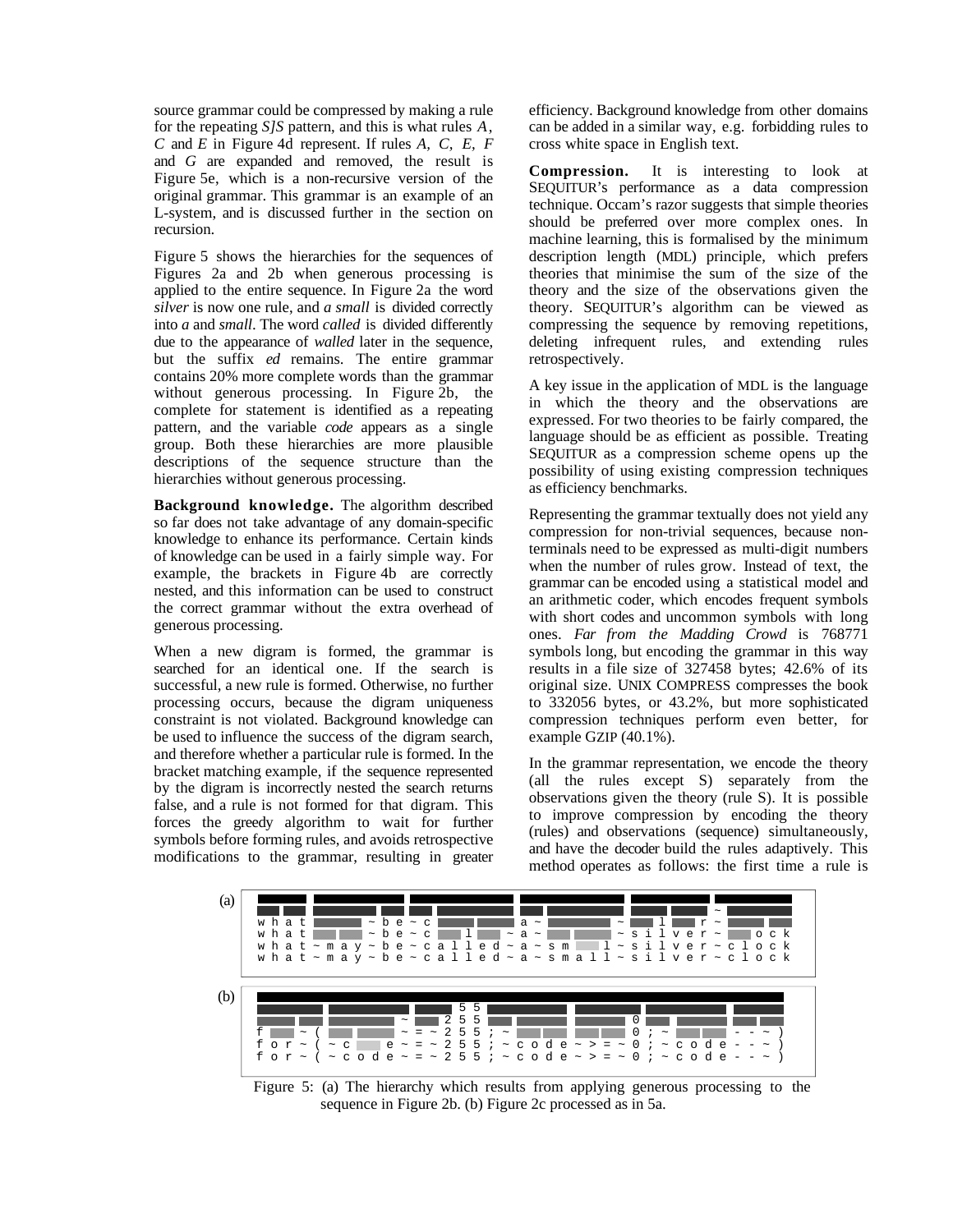source grammar could be compressed by making a rule for the repeating *S]S* pattern, and this is what rules *A*, *C* and *E* in Figure 4d represent. If rules *A, C, E, F* and *G* are expanded and removed, the result is Figure 5e, which is a non-recursive version of the original grammar. This grammar is an example of an L-system, and is discussed further in the section on recursion.

Figure 5 shows the hierarchies for the sequences of Figures 2a and 2b when generous processing is applied to the entire sequence. In Figure 2a the word *silver* is now one rule, and *a small* is divided correctly into *a* and *small*. The word *called* is divided differently due to the appearance of *walled* later in the sequence, but the suffix *ed* remains. The entire grammar contains 20% more complete words than the grammar without generous processing. In Figure 2b, the complete for statement is identified as a repeating pattern, and the variable *code* appears as a single group. Both these hierarchies are more plausible descriptions of the sequence structure than the hierarchies without generous processing.

**Background knowledge.** The algorithm described so far does not take advantage of any domain-specific knowledge to enhance its performance. Certain kinds of knowledge can be used in a fairly simple way. For example, the brackets in Figure 4b are correctly nested, and this information can be used to construct the correct grammar without the extra overhead of generous processing.

When a new digram is formed, the grammar is searched for an identical one. If the search is successful, a new rule is formed. Otherwise, no further processing occurs, because the digram uniqueness constraint is not violated. Background knowledge can be used to influence the success of the digram search, and therefore whether a particular rule is formed. In the bracket matching example, if the sequence represented by the digram is incorrectly nested the search returns false, and a rule is not formed for that digram. This forces the greedy algorithm to wait for further symbols before forming rules, and avoids retrospective modifications to the grammar, resulting in greater efficiency. Background knowledge from other domains can be added in a similar way, e.g. forbidding rules to cross white space in English text.

**Compression.** It is interesting to look at SEQUITUR's performance as a data compression technique. Occam's razor suggests that simple theories should be preferred over more complex ones. In machine learning, this is formalised by the minimum description length (MDL) principle, which prefers theories that minimise the sum of the size of the theory and the size of the observations given the theory. SEQUITUR's algorithm can be viewed as compressing the sequence by removing repetitions, deleting infrequent rules, and extending rules retrospectively.

A key issue in the application of MDL is the language in which the theory and the observations are expressed. For two theories to be fairly compared, the language should be as efficient as possible. Treating SEQUITUR as a compression scheme opens up the possibility of using existing compression techniques as efficiency benchmarks.

Representing the grammar textually does not yield any compression for non-trivial sequences, because nonterminals need to be expressed as multi-digit numbers when the number of rules grow. Instead of text, the grammar can be encoded using a statistical model and an arithmetic coder, which encodes frequent symbols with short codes and uncommon symbols with long ones. *Far from the Madding Crowd* is 768771 symbols long, but encoding the grammar in this way results in a file size of 327458 bytes; 42.6% of its original size. UNIX COMPRESS compresses the book to 332056 bytes, or 43.2%, but more sophisticated compression techniques perform even better, for example GZIP (40.1%).

In the grammar representation, we encode the theory (all the rules except S) separately from the observations given the theory (rule S). It is possible to improve compression by encoding the theory (rules) and observations (sequence) simultaneously, and have the decoder build the rules adaptively. This method operates as follows: the first time a rule is



Figure 5: (a) The hierarchy which results from applying generous processing to the sequence in Figure 2b. (b) Figure 2c processed as in 5a.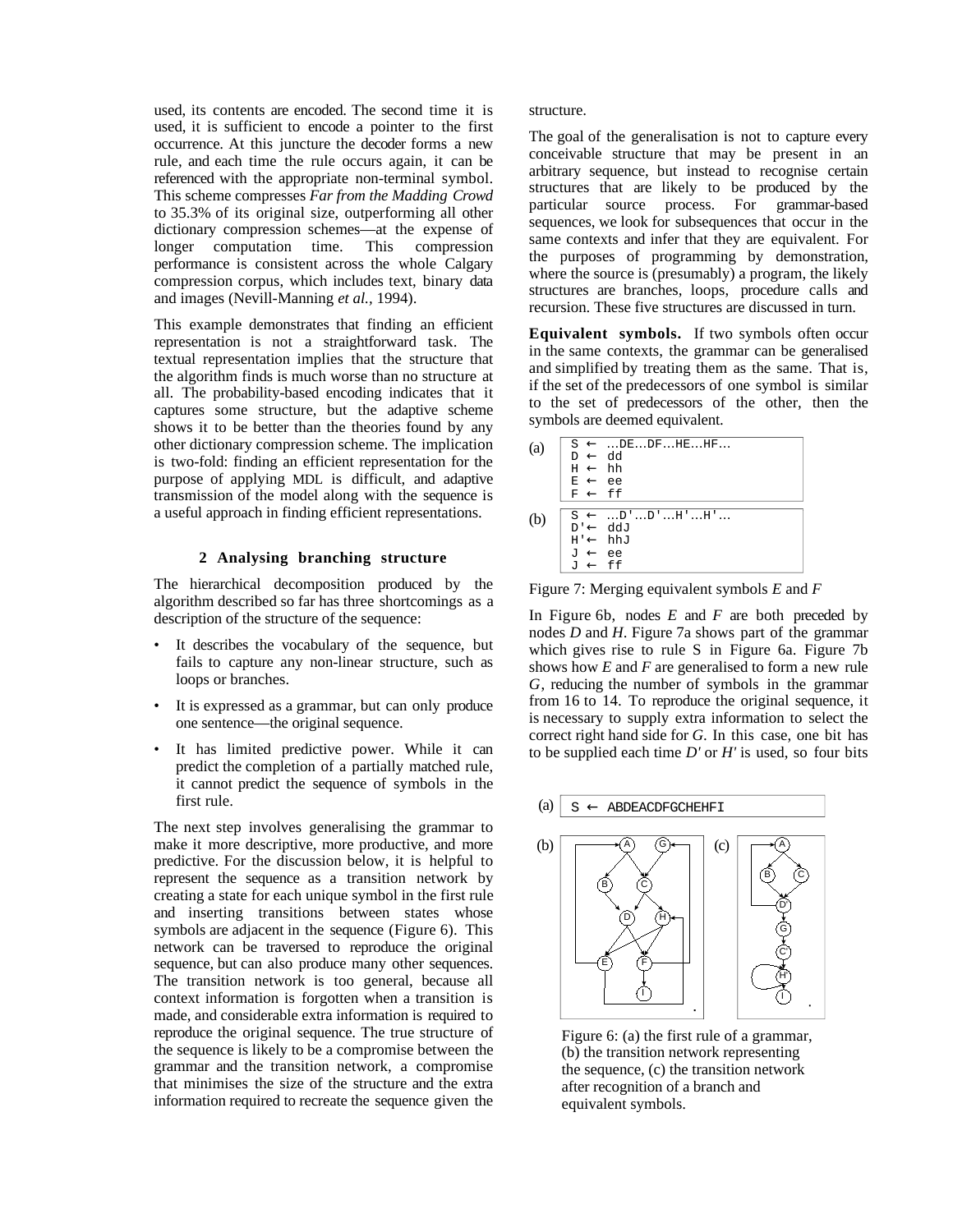used, its contents are encoded. The second time it is used, it is sufficient to encode a pointer to the first occurrence. At this juncture the decoder forms a new rule, and each time the rule occurs again, it can be referenced with the appropriate non-terminal symbol. This scheme compresses *Far from the Madding Crowd* to 35.3% of its original size, outperforming all other dictionary compression schemes—at the expense of longer computation time. This compression performance is consistent across the whole Calgary compression corpus, which includes text, binary data and images (Nevill-Manning *et al.,* 1994).

This example demonstrates that finding an efficient representation is not a straightforward task. The textual representation implies that the structure that the algorithm finds is much worse than no structure at all. The probability-based encoding indicates that it captures some structure, but the adaptive scheme shows it to be better than the theories found by any other dictionary compression scheme. The implication is two-fold: finding an efficient representation for the purpose of applying MDL is difficult, and adaptive transmission of the model along with the sequence is a useful approach in finding efficient representations.

## **2 Analysing branching structure**

The hierarchical decomposition produced by the algorithm described so far has three shortcomings as a description of the structure of the sequence:

- It describes the vocabulary of the sequence, but fails to capture any non-linear structure, such as loops or branches.
- It is expressed as a grammar, but can only produce one sentence—the original sequence.
- It has limited predictive power. While it can predict the completion of a partially matched rule, it cannot predict the sequence of symbols in the first rule.

The next step involves generalising the grammar to make it more descriptive, more productive, and more predictive. For the discussion below, it is helpful to represent the sequence as a transition network by creating a state for each unique symbol in the first rule and inserting transitions between states whose symbols are adjacent in the sequence (Figure 6). This network can be traversed to reproduce the original sequence, but can also produce many other sequences. The transition network is too general, because all context information is forgotten when a transition is made, and considerable extra information is required to reproduce the original sequence. The true structure of the sequence is likely to be a compromise between the grammar and the transition network, a compromise that minimises the size of the structure and the extra information required to recreate the sequence given the

structure.

The goal of the generalisation is not to capture every conceivable structure that may be present in an arbitrary sequence, but instead to recognise certain structures that are likely to be produced by the particular source process. For grammar-based sequences, we look for subsequences that occur in the same contexts and infer that they are equivalent. For the purposes of programming by demonstration, where the source is (presumably) a program, the likely structures are branches, loops, procedure calls and recursion. These five structures are discussed in turn.

**Equivalent symbols.** If two symbols often occur in the same contexts, the grammar can be generalised and simplified by treating them as the same. That is, if the set of the predecessors of one symbol is similar to the set of predecessors of the other, then the symbols are deemed equivalent.

| (a) | $S \leftarrow DEDFHEHF$<br>$bb \rightarrow a$<br>$H \leftarrow hh$<br>$E \leftarrow ee$                                                                             |
|-----|---------------------------------------------------------------------------------------------------------------------------------------------------------------------|
| (b) | $F \leftarrow ff$<br>$S \leftarrow \dots D' \dots D' \dots H' \dots H' \dots$<br>$D \rightarrow Q$<br>$H' \leftarrow hhJ$<br>$J \leftarrow ee$<br>$J \leftarrow ff$ |

Figure 7: Merging equivalent symbols *E* and *F*

In Figure 6b, nodes *E* and *F* are both preceded by nodes *D* and *H*. Figure 7a shows part of the grammar which gives rise to rule S in Figure 6a. Figure 7b shows how *E* and *F* are generalised to form a new rule *G*, reducing the number of symbols in the grammar from 16 to 14. To reproduce the original sequence, it is necessary to supply extra information to select the correct right hand side for *G*. In this case, one bit has to be supplied each time *D'* or *H'* is used, so four bits



Figure 6: (a) the first rule of a grammar, (b) the transition network representing the sequence, (c) the transition network after recognition of a branch and equivalent symbols.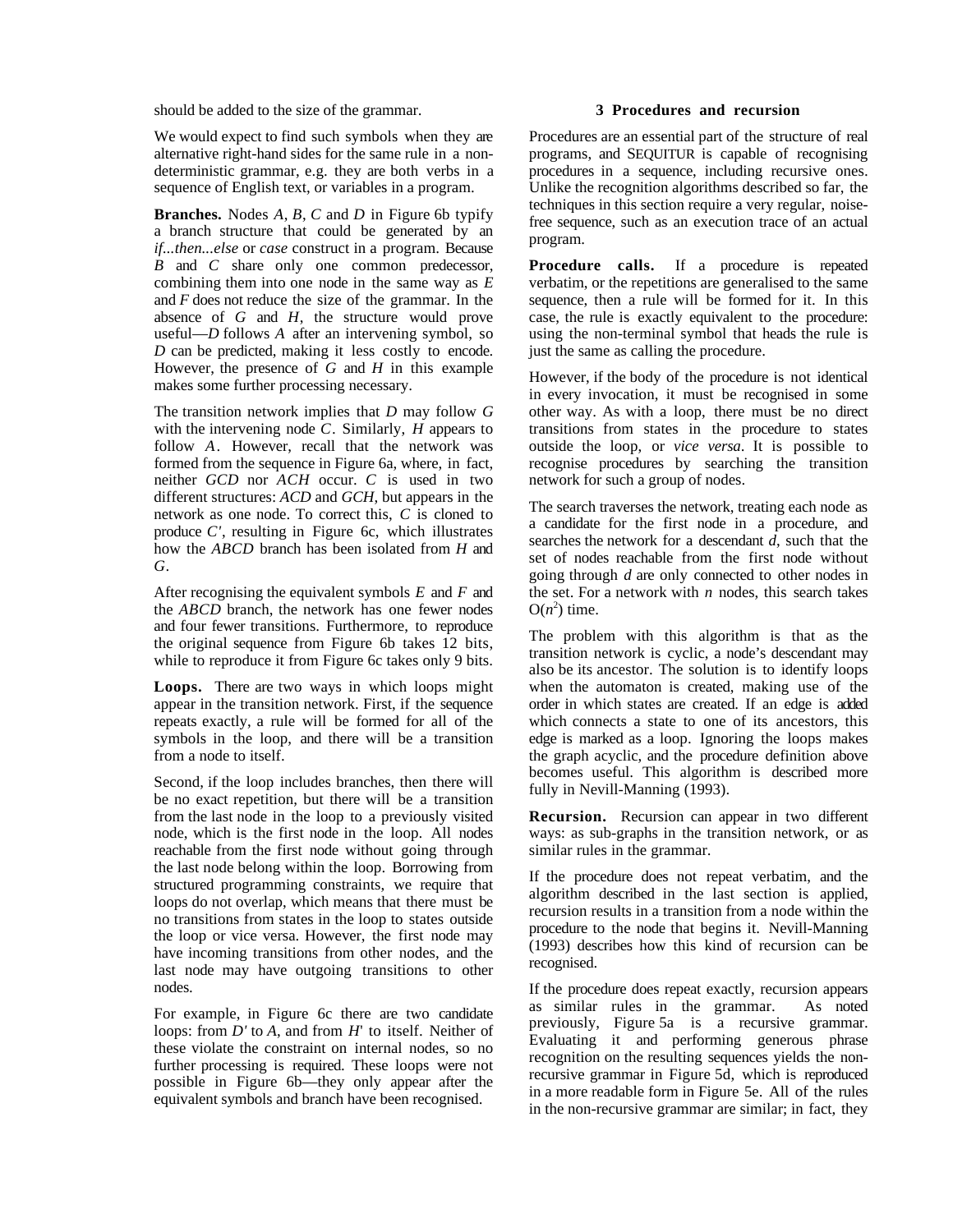should be added to the size of the grammar.

We would expect to find such symbols when they are alternative right-hand sides for the same rule in a nondeterministic grammar, e.g. they are both verbs in a sequence of English text, or variables in a program.

**Branches.** Nodes *A*, *B*, *C* and *D* in Figure 6b typify a branch structure that could be generated by an *if...then...else* or *case* construct in a program. Because *B* and *C* share only one common predecessor, combining them into one node in the same way as *E* and *F* does not reduce the size of the grammar. In the absence of *G* and *H*, the structure would prove useful—*D* follows *A* after an intervening symbol, so *D* can be predicted, making it less costly to encode. However, the presence of *G* and *H* in this example makes some further processing necessary.

The transition network implies that *D* may follow *G* with the intervening node *C*. Similarly, *H* appears to follow *A*. However, recall that the network was formed from the sequence in Figure 6a, where, in fact, neither *GCD* nor *ACH* occur. *C* is used in two different structures: *ACD* and *GCH*, but appears in the network as one node. To correct this, *C* is cloned to produce *C'*, resulting in Figure 6c, which illustrates how the *ABCD* branch has been isolated from *H* and *G*.

After recognising the equivalent symbols *E* and *F* and the *ABCD* branch, the network has one fewer nodes and four fewer transitions. Furthermore, to reproduce the original sequence from Figure 6b takes 12 bits, while to reproduce it from Figure 6c takes only 9 bits.

**Loops.** There are two ways in which loops might appear in the transition network. First, if the sequence repeats exactly, a rule will be formed for all of the symbols in the loop, and there will be a transition from a node to itself.

Second, if the loop includes branches, then there will be no exact repetition, but there will be a transition from the last node in the loop to a previously visited node, which is the first node in the loop. All nodes reachable from the first node without going through the last node belong within the loop. Borrowing from structured programming constraints, we require that loops do not overlap, which means that there must be no transitions from states in the loop to states outside the loop or vice versa. However, the first node may have incoming transitions from other nodes, and the last node may have outgoing transitions to other nodes.

For example, in Figure 6c there are two candidate loops: from *D'* to *A*, and from *H*' to itself. Neither of these violate the constraint on internal nodes, so no further processing is required. These loops were not possible in Figure 6b—they only appear after the equivalent symbols and branch have been recognised.

## **3 Procedures and recursion**

Procedures are an essential part of the structure of real programs, and SEQUITUR is capable of recognising procedures in a sequence, including recursive ones. Unlike the recognition algorithms described so far, the techniques in this section require a very regular, noisefree sequence, such as an execution trace of an actual program.

**Procedure calls.** If a procedure is repeated verbatim, or the repetitions are generalised to the same sequence, then a rule will be formed for it. In this case, the rule is exactly equivalent to the procedure: using the non-terminal symbol that heads the rule is just the same as calling the procedure.

However, if the body of the procedure is not identical in every invocation, it must be recognised in some other way. As with a loop, there must be no direct transitions from states in the procedure to states outside the loop, or *vice versa*. It is possible to recognise procedures by searching the transition network for such a group of nodes.

The search traverses the network, treating each node as a candidate for the first node in a procedure, and searches the network for a descendant  $\overline{d}$ , such that the set of nodes reachable from the first node without going through *d* are only connected to other nodes in the set. For a network with *n* nodes, this search takes  $O(n^2)$  time.

The problem with this algorithm is that as the transition network is cyclic, a node's descendant may also be its ancestor. The solution is to identify loops when the automaton is created, making use of the order in which states are created. If an edge is added which connects a state to one of its ancestors, this edge is marked as a loop. Ignoring the loops makes the graph acyclic, and the procedure definition above becomes useful. This algorithm is described more fully in Nevill-Manning (1993).

**Recursion.** Recursion can appear in two different ways: as sub-graphs in the transition network, or as similar rules in the grammar.

If the procedure does not repeat verbatim, and the algorithm described in the last section is applied, recursion results in a transition from a node within the procedure to the node that begins it. Nevill-Manning (1993) describes how this kind of recursion can be recognised.

If the procedure does repeat exactly, recursion appears as similar rules in the grammar.As noted previously, Figure 5a is a recursive grammar. Evaluating it and performing generous phrase recognition on the resulting sequences yields the nonrecursive grammar in Figure 5d, which is reproduced in a more readable form in Figure 5e. All of the rules in the non-recursive grammar are similar; in fact, they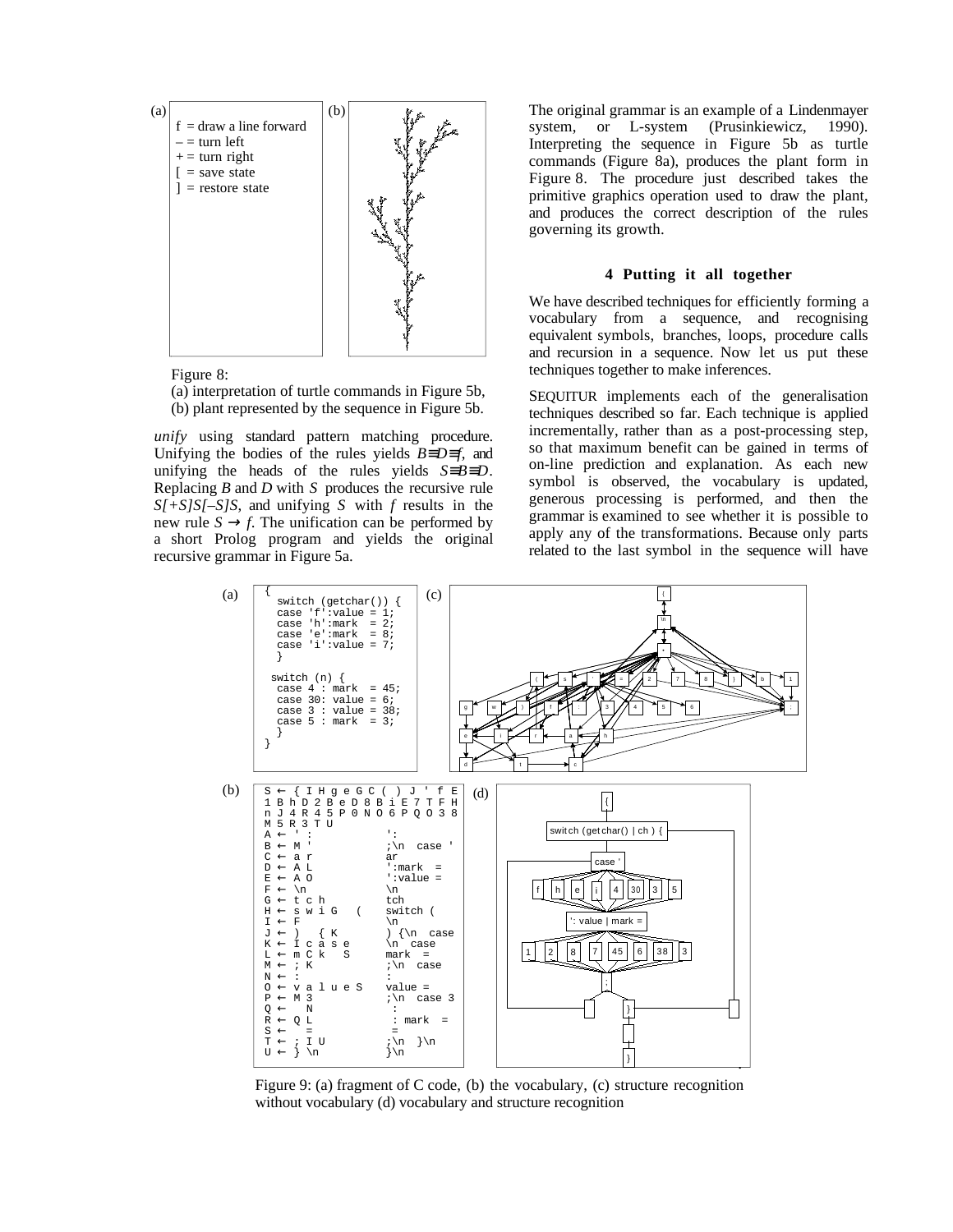

Figure 8:

(a) interpretation of turtle commands in Figure 5b, (b) plant represented by the sequence in Figure 5b.

*unify* using standard pattern matching procedure. Unifying the bodies of the rules yields *B*≡*D*≡*f*, and unifying the heads of the rules yields *S*≡*B*≡*D*. Replacing *B* and *D* with *S* produces the recursive rule *S[+S]S[–S]S*, and unifying *S* with *f* results in the new rule  $S \rightarrow f$ . The unification can be performed by a short Prolog program and yields the original recursive grammar in Figure 5a.

The original grammar is an example of a Lindenmayer system, or L-system (Prusinkiewicz, 1990). Interpreting the sequence in Figure 5b as turtle commands (Figure 8a), produces the plant form in Figure 8. The procedure just described takes the primitive graphics operation used to draw the plant, and produces the correct description of the rules governing its growth.

## **4 Putting it all together**

We have described techniques for efficiently forming a vocabulary from a sequence, and recognising equivalent symbols, branches, loops, procedure calls and recursion in a sequence. Now let us put these techniques together to make inferences.

SEQUITUR implements each of the generalisation techniques described so far. Each technique is applied incrementally, rather than as a post-processing step, so that maximum benefit can be gained in terms of on-line prediction and explanation. As each new symbol is observed, the vocabulary is updated, generous processing is performed, and then the grammar is examined to see whether it is possible to apply any of the transformations. Because only parts related to the last symbol in the sequence will have



Figure 9: (a) fragment of C code, (b) the vocabulary, (c) structure recognition without vocabulary (d) vocabulary and structure recognition